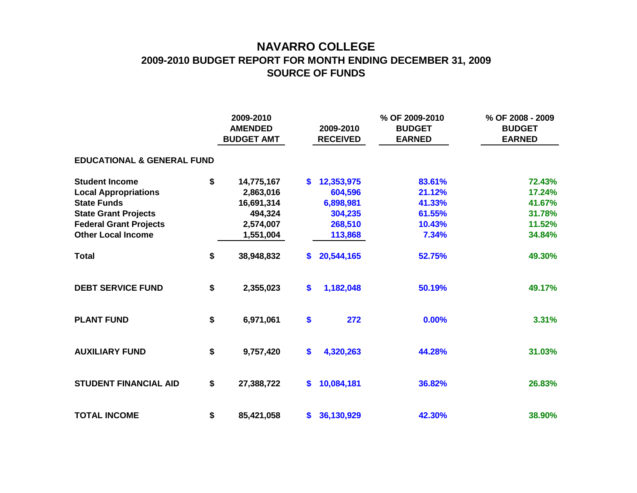## **NAVARRO COLLEGE 2009-2010 BUDGET REPORT FOR MONTH ENDING DECEMBER 31, 2009 SOURCE OF FUNDS**

|                                       | 2009-2010<br><b>AMENDED</b><br><b>BUDGET AMT</b> |              | 2009-2010<br><b>RECEIVED</b> | % OF 2009-2010<br><b>BUDGET</b><br><b>EARNED</b> | % OF 2008 - 2009<br><b>BUDGET</b><br><b>EARNED</b> |
|---------------------------------------|--------------------------------------------------|--------------|------------------------------|--------------------------------------------------|----------------------------------------------------|
| <b>EDUCATIONAL &amp; GENERAL FUND</b> |                                                  |              |                              |                                                  |                                                    |
| <b>Student Income</b>                 | \$<br>14,775,167                                 | $\mathbf{s}$ | 12,353,975                   | 83.61%                                           | 72.43%                                             |
| <b>Local Appropriations</b>           | 2,863,016                                        |              | 604,596                      | 21.12%                                           | 17.24%                                             |
| <b>State Funds</b>                    | 16,691,314                                       |              | 6,898,981                    | 41.33%                                           | 41.67%                                             |
| <b>State Grant Projects</b>           | 494,324                                          |              | 304,235                      | 61.55%                                           | 31.78%                                             |
| <b>Federal Grant Projects</b>         | 2,574,007                                        |              | 268,510                      | 10.43%                                           | 11.52%                                             |
| <b>Other Local Income</b>             | 1,551,004                                        |              | 113,868                      | 7.34%                                            | 34.84%                                             |
| <b>Total</b>                          | \$<br>38,948,832                                 | <b>S</b>     | 20,544,165                   | 52.75%                                           | 49.30%                                             |
| <b>DEBT SERVICE FUND</b>              | \$<br>2,355,023                                  | \$           | 1,182,048                    | 50.19%                                           | 49.17%                                             |
| <b>PLANT FUND</b>                     | \$<br>6,971,061                                  | \$           | 272                          | 0.00%                                            | 3.31%                                              |
| <b>AUXILIARY FUND</b>                 | \$<br>9,757,420                                  | \$           | 4,320,263                    | 44.28%                                           | 31.03%                                             |
| <b>STUDENT FINANCIAL AID</b>          | \$<br>27,388,722                                 | \$           | 10,084,181                   | 36.82%                                           | 26.83%                                             |
| <b>TOTAL INCOME</b>                   | \$<br>85,421,058                                 | $\bullet$    | 36,130,929                   | 42.30%                                           | 38.90%                                             |